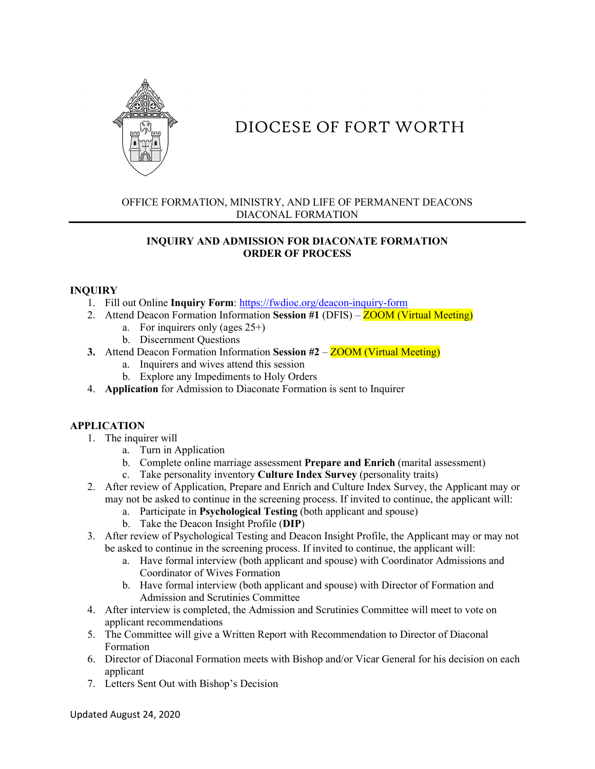

# DIOCESE OF FORT WORTH

## OFFICE FORMATION, MINISTRY, AND LIFE OF PERMANENT DEACONS DIACONAL FORMATION

# **INQUIRY AND ADMISSION FOR DIACONATE FORMATION ORDER OF PROCESS**

#### **INQUIRY**

- 1. Fill out Online **Inquiry Form**:<https://fwdioc.org/deacon-inquiry-form>
- 2. Attend Deacon Formation Information **Session #1** (DFIS) ZOOM (Virtual Meeting)
	- a. For inquirers only (ages 25+)
		- b. Discernment Questions
- **3.** Attend Deacon Formation Information Session #2 ZOOM (Virtual Meeting)
	- a. Inquirers and wives attend this session
	- b. Explore any Impediments to Holy Orders
- 4. **Application** for Admission to Diaconate Formation is sent to Inquirer

# **APPLICATION**

- 1. The inquirer will
	- a. Turn in Application
	- b. Complete online marriage assessment **Prepare and Enrich** (marital assessment)
	- c. Take personality inventory **Culture Index Survey** (personality traits)
- 2. After review of Application, Prepare and Enrich and Culture Index Survey, the Applicant may or may not be asked to continue in the screening process. If invited to continue, the applicant will:
	- a. Participate in **Psychological Testing** (both applicant and spouse)
	- b. Take the Deacon Insight Profile (**DIP**)
- 3. After review of Psychological Testing and Deacon Insight Profile, the Applicant may or may not be asked to continue in the screening process. If invited to continue, the applicant will:
	- a. Have formal interview (both applicant and spouse) with Coordinator Admissions and Coordinator of Wives Formation
	- b. Have formal interview (both applicant and spouse) with Director of Formation and Admission and Scrutinies Committee
- 4. After interview is completed, the Admission and Scrutinies Committee will meet to vote on applicant recommendations
- 5. The Committee will give a Written Report with Recommendation to Director of Diaconal Formation
- 6. Director of Diaconal Formation meets with Bishop and/or Vicar General for his decision on each applicant
- 7. Letters Sent Out with Bishop's Decision